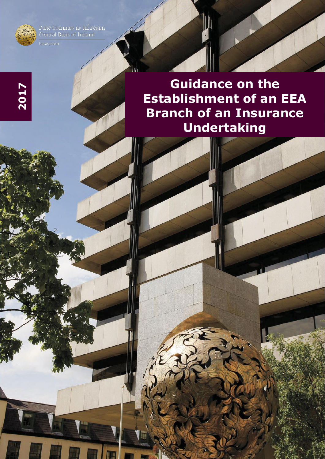

**2017**

Banc Ceannais na hÉireann<br>Central Bank of Ireland

**Guidance on the Establishment of an EEA Branch of an Insurance Undertaking** 

W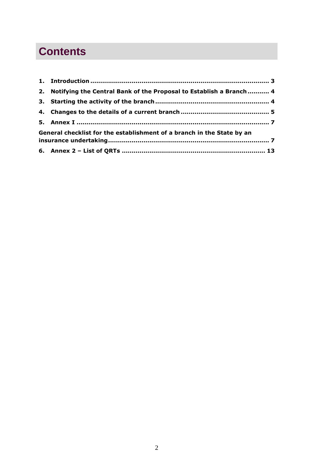# **Contents**

| 2. Notifying the Central Bank of the Proposal to Establish a Branch 4  |  |  |
|------------------------------------------------------------------------|--|--|
|                                                                        |  |  |
|                                                                        |  |  |
|                                                                        |  |  |
| General checklist for the establishment of a branch in the State by an |  |  |
|                                                                        |  |  |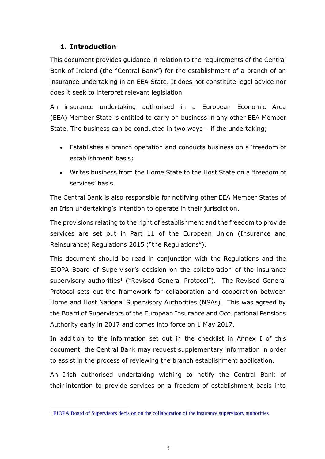# <span id="page-2-0"></span>**1. Introduction**

<u>.</u>

This document provides guidance in relation to the requirements of the Central Bank of Ireland (the "Central Bank") for the establishment of a branch of an insurance undertaking in an EEA State. It does not constitute legal advice nor does it seek to interpret relevant legislation.

An insurance undertaking authorised in a European Economic Area (EEA) Member State is entitled to carry on business in any other EEA Member State. The business can be conducted in two ways – if the undertaking;

- Establishes a branch operation and conducts business on a 'freedom of establishment' basis;
- Writes business from the Home State to the Host State on a 'freedom of services' basis.

The Central Bank is also responsible for notifying other EEA Member States of an Irish undertaking's intention to operate in their jurisdiction.

The provisions relating to the right of establishment and the freedom to provide services are set out in Part 11 of the European Union (Insurance and Reinsurance) Regulations 2015 ("the Regulations").

This document should be read in conjunction with the Regulations and the EIOPA Board of Supervisor's decision on the collaboration of the insurance supervisory authorities<sup>1</sup> ("Revised General Protocol"). The Revised General Protocol sets out the framework for collaboration and cooperation between Home and Host National Supervisory Authorities (NSAs). This was agreed by the Board of Supervisors of the European Insurance and Occupational Pensions Authority early in 2017 and comes into force on 1 May 2017.

In addition to the information set out in the checklist in Annex I of this document, the Central Bank may request supplementary information in order to assist in the process of reviewing the branch establishment application.

An Irish authorised undertaking wishing to notify the Central Bank of their intention to provide services on a freedom of establishment basis into

<sup>1</sup> [EIOPA Board of Supervisors decision on the collaboration of the insurance supervisory authorities](https://eiopa.europa.eu/Publications/Protocols/EIOPA-BoS-17-014%20Annex%20Decision%20on%20the%20collaboration%20of%20the%20insurance%20supervisory%20authorities.pdf)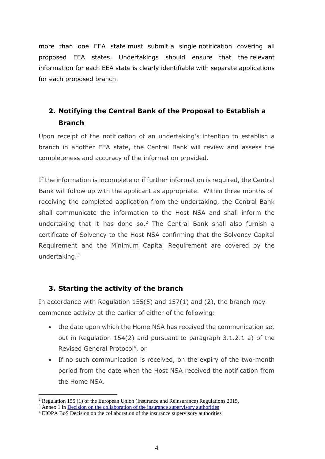more than one EEA state must submit a single notification covering all proposed EEA states. Undertakings should ensure that the relevant information for each EEA state is clearly identifiable with separate applications for each proposed branch.

# <span id="page-3-0"></span>**2. Notifying the Central Bank of the Proposal to Establish a Branch**

Upon receipt of the notification of an undertaking's intention to establish a branch in another EEA state, the Central Bank will review and assess the completeness and accuracy of the information provided.

If the information is incomplete or if further information is required, the Central Bank will follow up with the applicant as appropriate. Within three months of receiving the completed application from the undertaking, the Central Bank shall communicate the information to the Host NSA and shall inform the undertaking that it has done so. <sup>2</sup> The Central Bank shall also furnish a certificate of Solvency to the Host NSA confirming that the Solvency Capital Requirement and the Minimum Capital Requirement are covered by the undertaking.<sup>3</sup>

### <span id="page-3-1"></span>**3. Starting the activity of the branch**

In accordance with Regulation 155(5) and 157(1) and (2), the branch may commence activity at the earlier of either of the following:

- the date upon which the Home NSA has received the communication set out in Regulation 154(2) and pursuant to paragraph 3.1.2.1 a) of the Revised General Protocol<sup>4</sup>, or
- If no such communication is received, on the expiry of the two-month period from the date when the Host NSA received the notification from the Home NSA.

 $\overline{a}$ 

<sup>&</sup>lt;sup>2</sup> Regulation 155 (1) of the European Union (Insurance and Reinsurance) Regulations 2015.

<sup>&</sup>lt;sup>3</sup> Annex 1 i[n Decision on the collaboration of the insurance supervisory authorities](https://eiopa.europa.eu/Publications/Protocols/EIOPA-BoS-17-014%20Annex%20Decision%20on%20the%20collaboration%20of%20the%20insurance%20supervisory%20authorities.pdf)

<sup>4</sup> EIOPA BoS Decision on the collaboration of the insurance supervisory authorities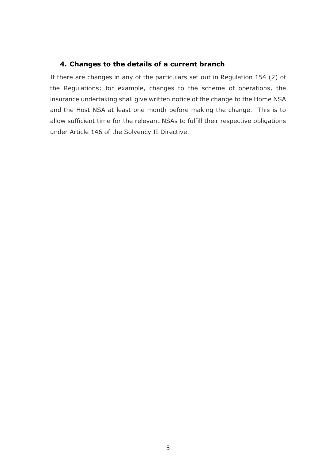# <span id="page-4-0"></span>**4. Changes to the details of a current branch**

If there are changes in any of the particulars set out in Regulation 154 (2) of the Regulations; for example, changes to the scheme of operations, the insurance undertaking shall give written notice of the change to the Home NSA and the Host NSA at least one month before making the change. This is to allow sufficient time for the relevant NSAs to fulfill their respective obligations under Article 146 of the Solvency II Directive.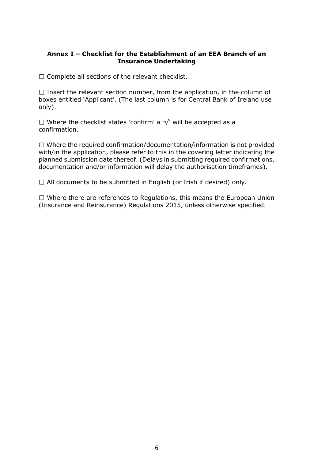### **Annex I – Checklist for the Establishment of an EEA Branch of an Insurance Undertaking**

 $\square$  Complete all sections of the relevant checklist.

 $\Box$  Insert the relevant section number, from the application, in the column of boxes entitled 'Applicant'. (The last column is for Central Bank of Ireland use only).

Where the checklist states 'confirm' a '√' will be accepted as a confirmation.

 $\Box$  Where the required confirmation/documentation/information is not provided with/in the application, please refer to this in the covering letter indicating the planned submission date thereof. (Delays in submitting required confirmations, documentation and/or information will delay the authorisation timeframes).

 $\Box$  All documents to be submitted in English (or Irish if desired) only.

 $\Box$  Where there are references to Regulations, this means the European Union (Insurance and Reinsurance) Regulations 2015, unless otherwise specified.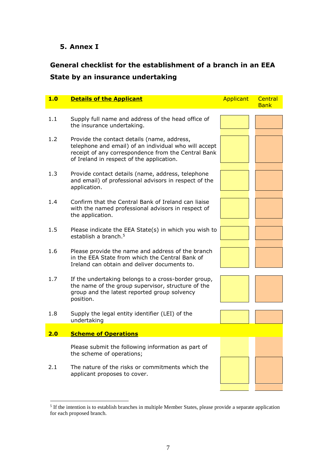### <span id="page-6-0"></span>**5. Annex I**

# <span id="page-6-1"></span>**General checklist for the establishment of a branch in an EEA State by an insurance undertaking**

| 1.0 | <b>Details of the Applicant</b>                                                                                                                                                                          | Applicant | Central<br><b>Bank</b> |
|-----|----------------------------------------------------------------------------------------------------------------------------------------------------------------------------------------------------------|-----------|------------------------|
|     |                                                                                                                                                                                                          |           |                        |
| 1.1 | Supply full name and address of the head office of<br>the insurance undertaking.                                                                                                                         |           |                        |
| 1.2 | Provide the contact details (name, address,<br>telephone and email) of an individual who will accept<br>receipt of any correspondence from the Central Bank<br>of Ireland in respect of the application. |           |                        |
| 1.3 | Provide contact details (name, address, telephone<br>and email) of professional advisors in respect of the<br>application.                                                                               |           |                        |
| 1.4 | Confirm that the Central Bank of Ireland can liaise<br>with the named professional advisors in respect of<br>the application.                                                                            |           |                        |
| 1.5 | Please indicate the EEA State(s) in which you wish to<br>establish a branch. <sup>5</sup>                                                                                                                |           |                        |
| 1.6 | Please provide the name and address of the branch<br>in the EEA State from which the Central Bank of<br>Ireland can obtain and deliver documents to.                                                     |           |                        |
| 1.7 | If the undertaking belongs to a cross-border group,<br>the name of the group supervisor, structure of the<br>group and the latest reported group solvency<br>position.                                   |           |                        |
| 1.8 | Supply the legal entity identifier (LEI) of the<br>undertaking                                                                                                                                           |           |                        |
| 2.0 | <b>Scheme of Operations</b>                                                                                                                                                                              |           |                        |
|     | Please submit the following information as part of<br>the scheme of operations;                                                                                                                          |           |                        |
| 2.1 | The nature of the risks or commitments which the<br>applicant proposes to cover.                                                                                                                         |           |                        |
|     |                                                                                                                                                                                                          |           |                        |

The intention is to establish branches in multiple Member States, please provide a separate application<br><sup>5</sup> If the intention is to establish branches in multiple Member States, please provide a separate application for each proposed branch.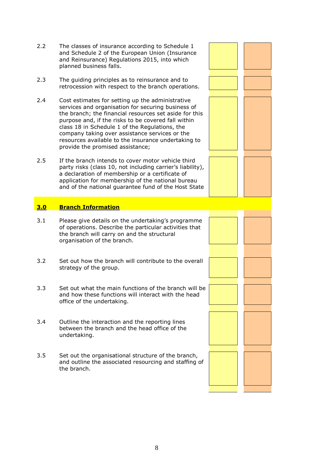- 2.2 The classes of insurance according to Schedule 1 and Schedule 2 of the European Union (Insurance and Reinsurance) Regulations 2015, into which planned business falls.
- 2.3 The guiding principles as to reinsurance and to retrocession with respect to the branch operations.
- 2.4 Cost estimates for setting up the administrative services and organisation for securing business of the branch; the financial resources set aside for this purpose and, if the risks to be covered fall within class 18 in Schedule 1 of the Regulations, the company taking over assistance services or the resources available to the insurance undertaking to provide the promised assistance;
- 2.5 If the branch intends to cover motor vehicle third party risks (class 10, not including carrier's liability), a declaration of membership or a certificate of application for membership of the national bureau and of the national guarantee fund of the Host State

### **3.0 Branch Information**

- 3.1 Please give details on the undertaking's programme of operations. Describe the particular activities that the branch will carry on and the structural organisation of the branch.
- 3.2 Set out how the branch will contribute to the overall strategy of the group.
- 3.3 Set out what the main functions of the branch will be and how these functions will interact with the head office of the undertaking.
- 3.4 Outline the interaction and the reporting lines between the branch and the head office of the undertaking.
- 3.5 Set out the organisational structure of the branch, and outline the associated resourcing and staffing of the branch.

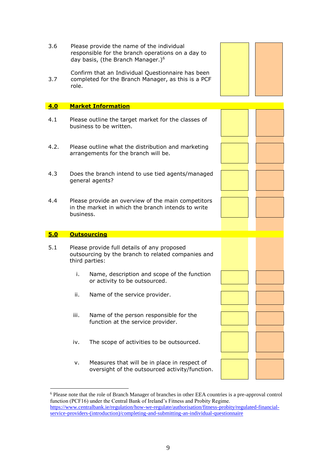| 3.6<br>3.7 | Please provide the name of the individual<br>responsible for the branch operations on a day to<br>day basis, (the Branch Manager.) <sup>6</sup><br>Confirm that an Individual Questionnaire has been<br>completed for the Branch Manager, as this is a PCF<br>role. |  |
|------------|---------------------------------------------------------------------------------------------------------------------------------------------------------------------------------------------------------------------------------------------------------------------|--|
| 4.0        | <b>Market Information</b>                                                                                                                                                                                                                                           |  |
| 4.1        | Please outline the target market for the classes of<br>business to be written.                                                                                                                                                                                      |  |
| 4.2.       | Please outline what the distribution and marketing<br>arrangements for the branch will be.                                                                                                                                                                          |  |
| 4.3        | Does the branch intend to use tied agents/managed<br>general agents?                                                                                                                                                                                                |  |
| 4.4        | Please provide an overview of the main competitors<br>in the market in which the branch intends to write<br>business.                                                                                                                                               |  |
| 5.0        | <b>Outsourcing</b>                                                                                                                                                                                                                                                  |  |
| 5.1        | Please provide full details of any proposed<br>outsourcing by the branch to related companies and<br>third parties:                                                                                                                                                 |  |
|            | Name, description and scope of the function<br>i.<br>or activity to be outsourced.                                                                                                                                                                                  |  |
|            | ii.<br>Name of the service provider.                                                                                                                                                                                                                                |  |
|            | Name of the person responsible for the<br>iii.<br>function at the service provider.                                                                                                                                                                                 |  |
|            | The scope of activities to be outsourced.<br>iv.                                                                                                                                                                                                                    |  |
|            | Measures that will be in place in respect of<br>v.<br>oversight of the outsourced activity/function.                                                                                                                                                                |  |

<u>.</u>

<sup>&</sup>lt;sup>6</sup> Please note that the role of Branch Manager of branches in other EEA countries is a pre-approval control function (PCF16) under the Central Bank of Ireland's Fitness and Probity Regime. [https://www.centralbank.ie/regulation/how-we-regulate/authorisation/fitness-probity/regulated-financial](https://www.centralbank.ie/regulation/how-we-regulate/authorisation/fitness-probity/regulated-financial-service-providers-(introduction)/completing-and-submitting-an-individual-questionnaire)[service-providers-\(introduction\)/completing-and-submitting-an-individual-questionnaire](https://www.centralbank.ie/regulation/how-we-regulate/authorisation/fitness-probity/regulated-financial-service-providers-(introduction)/completing-and-submitting-an-individual-questionnaire)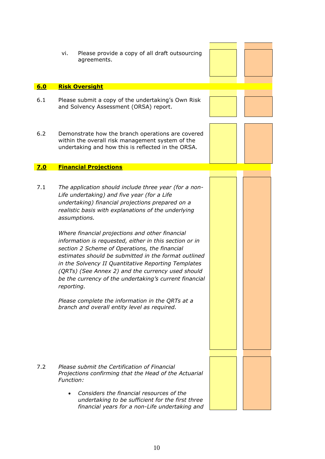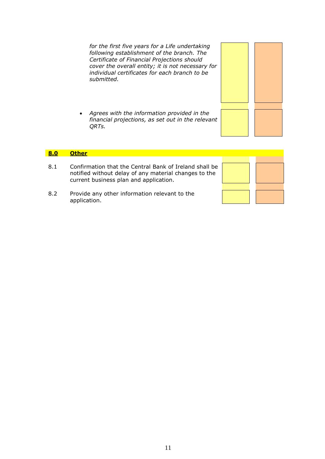*for the first five years for a Life undertaking following establishment of the branch. The Certificate of Financial Projections should cover the overall entity; it is not necessary for individual certificates for each branch to be submitted.* 

 *Agrees with the information provided in the financial projections, as set out in the relevant QRTs.*

### **8.0 Other**

- 8.1 Confirmation that the Central Bank of Ireland shall be notified without delay of any material changes to the current business plan and application.
- 8.2 Provide any other information relevant to the application.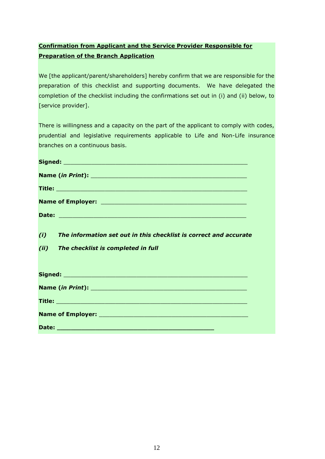## **Confirmation from Applicant and the Service Provider Responsible for Preparation of the Branch Application**

We [the applicant/parent/shareholders] hereby confirm that we are responsible for the preparation of this checklist and supporting documents. We have delegated the completion of the checklist including the confirmations set out in (i) and (ii) below, to [service provider].

There is willingness and a capacity on the part of the applicant to comply with codes, prudential and legislative requirements applicable to Life and Non-Life insurance branches on a continuous basis.

| (i)  | The information set out in this checklist is correct and accurate |  |  |  |  |
|------|-------------------------------------------------------------------|--|--|--|--|
| (ii) | The checklist is completed in full                                |  |  |  |  |
|      |                                                                   |  |  |  |  |
|      |                                                                   |  |  |  |  |
|      |                                                                   |  |  |  |  |
|      |                                                                   |  |  |  |  |
|      |                                                                   |  |  |  |  |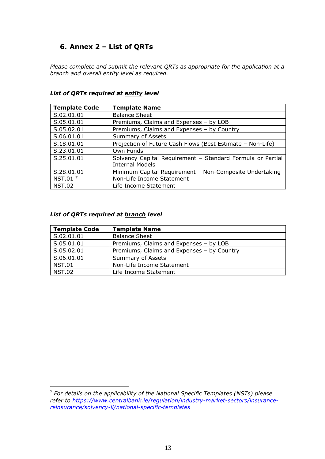## <span id="page-12-0"></span>**6. Annex 2 – List of QRTs**

*Please complete and submit the relevant QRTs as appropriate for the application at a branch and overall entity level as required.*

| <b>Template Code</b> | <b>Template Name</b>                                                                 |
|----------------------|--------------------------------------------------------------------------------------|
| S.02.01.01           | <b>Balance Sheet</b>                                                                 |
| S.05.01.01           | Premiums, Claims and Expenses - by LOB                                               |
| S.05.02.01           | Premiums, Claims and Expenses - by Country                                           |
| S.06.01.01           | Summary of Assets                                                                    |
| S.18.01.01           | Projection of Future Cash Flows (Best Estimate - Non-Life)                           |
| S.23.01.01           | Own Funds                                                                            |
| S.25.01.01           | Solvency Capital Requirement - Standard Formula or Partial<br><b>Internal Models</b> |
| S.28.01.01           | Minimum Capital Requirement - Non-Composite Undertaking                              |
| NST.01 <sup>7</sup>  | Non-Life Income Statement                                                            |
| <b>NST.02</b>        | Life Income Statement                                                                |

#### *List of QRTs required at entity level*

### *List of QRTs required at branch level*

1

| <b>Template Code</b> | <b>Template Name</b>                       |
|----------------------|--------------------------------------------|
| S.02.01.01           | <b>Balance Sheet</b>                       |
| S.05.01.01           | Premiums, Claims and Expenses - by LOB     |
| S.05.02.01           | Premiums, Claims and Expenses - by Country |
| S.06.01.01           | Summary of Assets                          |
| <b>NST.01</b>        | Non-Life Income Statement                  |
| <b>NST.02</b>        | Life Income Statement                      |

<sup>7</sup> *For details on the applicability of the National Specific Templates (NSTs) please refer to [https://www.centralbank.ie/regulation/industry-market-sectors/insurance](https://www.centralbank.ie/regulation/industry-market-sectors/insurance-reinsurance/solvency-ii/national-specific-templates)[reinsurance/solvency-ii/national-specific-templates](https://www.centralbank.ie/regulation/industry-market-sectors/insurance-reinsurance/solvency-ii/national-specific-templates)*